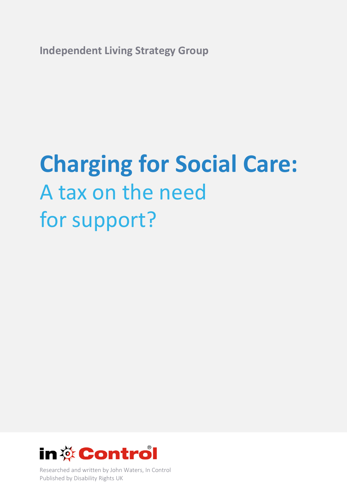**Independent Living Strategy Group** 

# **Charging for Social Care:**  A tax on the need for support?



Researched and written by John Waters, In Control Published by Disability Rights UK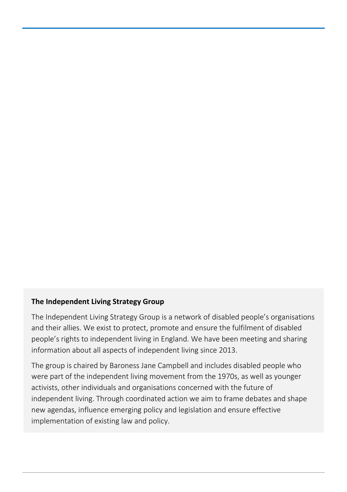## **The Independent Living Strategy Group**

The Independent Living Strategy Group is a network of disabled people's organisations and their allies. We exist to protect, promote and ensure the fulfilment of disabled people's rights to independent living in England. We have been meeting and sharing information about all aspects of independent living since 2013.

The group is chaired by Baroness Jane Campbell and includes disabled people who were part of the independent living movement from the 1970s, as well as younger activists, other individuals and organisations concerned with the future of independent living. Through coordinated action we aim to frame debates and shape new agendas, influence emerging policy and legislation and ensure effective implementation of existing law and policy.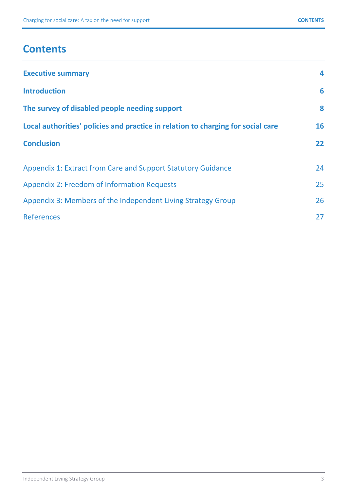# **Contents**

| <b>Executive summary</b>                                                         | 4                 |
|----------------------------------------------------------------------------------|-------------------|
| <b>Introduction</b>                                                              | 6                 |
| The survey of disabled people needing support                                    | 8                 |
| Local authorities' policies and practice in relation to charging for social care | 16                |
| <b>Conclusion</b>                                                                | $22 \overline{)}$ |
| Appendix 1: Extract from Care and Support Statutory Guidance                     | 24                |
| <b>Appendix 2: Freedom of Information Requests</b>                               | 25                |
| Appendix 3: Members of the Independent Living Strategy Group                     | 26                |
| <b>References</b>                                                                | 27                |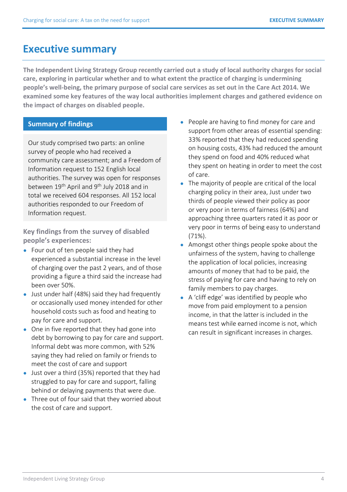# **Executive summary**

**The Independent Living Strategy Group recently carried out a study of local authority charges for social care, exploring in particular whether and to what extent the practice of charging is undermining people's well-being, the primary purpose of social care services as set out in the Care Act 2014. We examined some key features of the way local authorities implement charges and gathered evidence on the impact of charges on disabled people.** 

## **Summary of findings**

Our study comprised two parts: an online survey of people who had received a community care assessment; and a Freedom of Information request to 152 English local authorities. The survey was open for responses between 19<sup>th</sup> April and 9<sup>th</sup> July 2018 and in total we received 604 responses. All 152 local authorities responded to our Freedom of Information request.

**Key findings from the survey of disabled people's experiences:** 

- Four out of ten people said they had experienced a substantial increase in the level of charging over the past 2 years, and of those providing a figure a third said the increase had been over 50%.
- Just under half (48%) said they had frequently or occasionally used money intended for other household costs such as food and heating to pay for care and support.
- One in five reported that they had gone into debt by borrowing to pay for care and support. Informal debt was more common, with 52% saying they had relied on family or friends to meet the cost of care and support
- Just over a third (35%) reported that they had struggled to pay for care and support, falling behind or delaying payments that were due.
- Three out of four said that they worried about the cost of care and support.
- People are having to find money for care and support from other areas of essential spending: 33% reported that they had reduced spending on housing costs, 43% had reduced the amount they spend on food and 40% reduced what they spent on heating in order to meet the cost of care.
- The majority of people are critical of the local charging policy in their area, Just under two thirds of people viewed their policy as poor or very poor in terms of fairness (64%) and approaching three quarters rated it as poor or very poor in terms of being easy to understand (71%).
- Amongst other things people spoke about the unfairness of the system, having to challenge the application of local policies, increasing amounts of money that had to be paid, the stress of paying for care and having to rely on family members to pay charges.
- A 'cliff edge' was identified by people who move from paid employment to a pension income, in that the latter is included in the means test while earned income is not, which can result in significant increases in charges.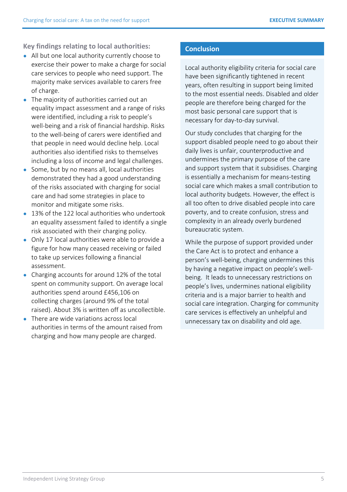**Key findings relating to local authorities:** 

- All but one local authority currently choose to exercise their power to make a charge for social care services to people who need support. The majority make services available to carers free of charge.
- The majority of authorities carried out an equality impact assessment and a range of risks were identified, including a risk to people's well-being and a risk of financial hardship. Risks to the well-being of carers were identified and that people in need would decline help. Local authorities also identified risks to themselves including a loss of income and legal challenges.
- Some, but by no means all, local authorities demonstrated they had a good understanding of the risks associated with charging for social care and had some strategies in place to monitor and mitigate some risks.
- 13% of the 122 local authorities who undertook an equality assessment failed to identify a single risk associated with their charging policy.
- Only 17 local authorities were able to provide a figure for how many ceased receiving or failed to take up services following a financial assessment.
- Charging accounts for around 12% of the total spent on community support. On average local authorities spend around £456,106 on collecting charges (around 9% of the total raised). About 3% is written off as uncollectible.
- There are wide variations across local authorities in terms of the amount raised from charging and how many people are charged.

## **Conclusion**

Local authority eligibility criteria for social care have been significantly tightened in recent years, often resulting in support being limited to the most essential needs. Disabled and older people are therefore being charged for the most basic personal care support that is necessary for day-to-day survival.

Our study concludes that charging for the support disabled people need to go about their daily lives is unfair, counterproductive and undermines the primary purpose of the care and support system that it subsidises. Charging is essentially a mechanism for means-testing social care which makes a small contribution to local authority budgets. However, the effect is all too often to drive disabled people into care poverty, and to create confusion, stress and complexity in an already overly burdened bureaucratic system.

While the purpose of support provided under the Care Act is to protect and enhance a person's well-being, charging undermines this by having a negative impact on people's wellbeing. It leads to unnecessary restrictions on people's lives, undermines national eligibility criteria and is a major barrier to health and social care integration. Charging for community care services is effectively an unhelpful and unnecessary tax on disability and old age.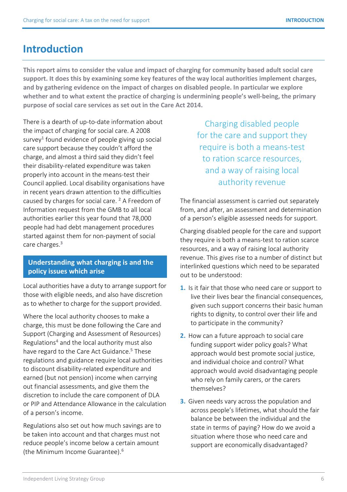# **Introduction**

**This report aims to consider the value and impact of charging for community based adult social care support. It does this by examining some key features of the way local authorities implement charges, and by gathering evidence on the impact of charges on disabled people. In particular we explore whether and to what extent the practice of charging is undermining people's well-being, the primary purpose of social care services as set out in the Care Act 2014.** 

There is a dearth of up-to-date information about the impact of charging for social care. A 2008 survey**<sup>1</sup>**  [fo](#page-26-0)und evidence of people giving up social care support because they couldn't afford the charge, and almost a third said they didn't feel their disability-related expenditure was taken properly into account in the means-test their Council applied. Local disability organisations have in recent years drawn attention to the difficulties caused by charges for social care.<sup>2</sup> [A](#page-26-0) Freedom of Information request from the GMB to all local authorities earlier this year found that 78,000 people had had debt management procedures started against them for non-payment of social care charge[s.](#page-26-0)**<sup>3</sup>**

### **Understanding what charging is and the policy issues which arise**

Local authorities have a duty to arrange support for those with eligible needs, and also have discretion as to whether to charge for the support provided.

Where the local authority chooses to make a charge, this must be done following the Care and Support (Charging and Assessment of Resources) Regulations**<sup>4</sup>**  [an](#page-26-0)d the local authority must also have regard to the Care Act Guidance.**<sup>5</sup>**  [T](#page-26-0)hese regulations and guidance require local authorities to discount disability-related expenditure and earned (but not pension) income when carrying out financial assessments, and give them the discretion to include the care component of DLA or PIP and Attendance Allowance in the calculation of a person's income.

Regulations also set out how much savings are to be taken into account and that charges must not reduce people's income below a certain amount (the Minimum Income Guarante[e\).](#page-26-0)**<sup>6</sup>**

Charging disabled people for the care and support they require is both a means-test to ration scarce resources, and a way of raising local authority revenue

The financial assessment is carried out separately from, and after, an assessment and determination of a person's eligible assessed needs for support.

Charging disabled people for the care and support they require is both a means-test to ration scarce resources, and a way of raising local authority revenue. This gives rise to a number of distinct but interlinked questions which need to be separated out to be understood:

- **1.** Is it fair that those who need care or support to live their lives bear the financial consequences, given such support concerns their basic human rights to dignity, to control over their life and to participate in the community?
- **2.** How can a future approach to social care funding support wider policy goals? What approach would best promote social justice, and individual choice and control? What approach would avoid disadvantaging people who rely on family carers, or the carers themselves?
- **3.** Given needs vary across the population and across people's lifetimes, what should the fair balance be between the individual and the state in terms of paying? How do we avoid a situation where those who need care and support are economically disadvantaged?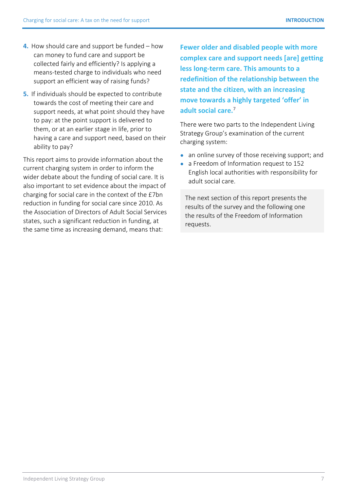- **4.** How should care and support be funded how can money to fund care and support be collected fairly and efficiently? Is applying a means-tested charge to individuals who need support an efficient way of raising funds?
- **5.** If individuals should be expected to contribute towards the cost of meeting their care and support needs, at what point should they have to pay: at the point support is delivered to them, or at an earlier stage in life, prior to having a care and support need, based on their ability to pay?

This report aims to provide information about the current charging system in order to inform the wider debate about the funding of social care. It is also important to set evidence about the impact of charging for social care in the context of the £7bn reduction in funding for social care since 2010. As the Association of Directors of Adult Social Services states, such a significant reduction in funding, at the same time as increasing demand, means that:

**Fewer older and disabled people with more complex care and support needs [are] getting less long-term care. This amounts to a redefinition of the relationship between the state and the citizen, with an increasing move towards a highly targeted 'offer' in adult social car[e.](#page-26-0)<sup>7</sup>**

There were two parts to the Independent Living Strategy Group's examination of the current charging system:

- an online survey of those receiving support; and
- a Freedom of Information request to 152 English local authorities with responsibility for adult social care.

The next section of this report presents the results of the survey and the following one the results of the Freedom of Information requests.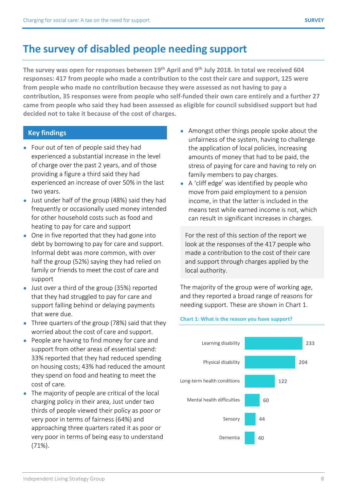# **The survey of disabled people needing support**

**The survey was open for responses between 19th April and 9th July 2018. In total we received 604 responses: 417 from people who made a contribution to the cost their care and support, 125 were from people who made no contribution because they were assessed as not having to pay a contribution, 35 responses were from people who self-funded their own care entirely and a further 27 came from people who said they had been assessed as eligible for council subsidised support but had decided not to take it because of the cost of charges.** 

## **Key findings**

- Four out of ten of people said they had experienced a substantial increase in the level of charge over the past 2 years, and of those providing a figure a third said they had experienced an increase of over 50% in the last two years.
- Just under half of the group (48%) said they had frequently or occasionally used money intended for other household costs such as food and heating to pay for care and support
- One in five reported that they had gone into debt by borrowing to pay for care and support. Informal debt was more common, with over half the group (52%) saying they had relied on family or friends to meet the cost of care and support
- Just over a third of the group (35%) reported that they had struggled to pay for care and support falling behind or delaying payments that were due.
- Three quarters of the group (78%) said that they worried about the cost of care and support.
- People are having to find money for care and support from other areas of essential spend: 33% reported that they had reduced spending on housing costs; 43% had reduced the amount they spend on food and heating to meet the cost of care.
- The majority of people are critical of the local charging policy in their area, Just under two thirds of people viewed their policy as poor or very poor in terms of fairness (64%) and approaching three quarters rated it as poor or very poor in terms of being easy to understand (71%).
- Amongst other things people spoke about the unfairness of the system, having to challenge the application of local policies, increasing amounts of money that had to be paid, the stress of paying for care and having to rely on family members to pay charges.
- A 'cliff edge' was identified by people who move from paid employment to a pension income, in that the latter is included in the means test while earned income is not, which can result in significant increases in charges.

For the rest of this section of the report we look at the responses of the 417 people who made a contribution to the cost of their care and support through charges applied by the local authority.

The majority of the group were of working age, and they reported a broad range of reasons for needing support. These are shown in Chart 1.

#### **Chart 1: What is the reason you have support?**

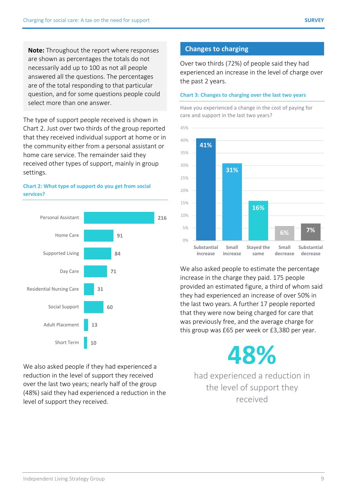**Note:** Throughout the report where responses are shown as percentages the totals do not necessarily add up to 100 as not all people answered all the questions. The percentages are of the total responding to that particular question, and for some questions people could select more than one answer.

The type of support people received is shown in Chart 2. Just over two thirds of the group reported that they received individual support at home or in the community either from a personal assistant or home care service. The remainder said they received other types of support, mainly in group settings.





We also asked people if they had experienced a reduction in the level of support they received over the last two years; nearly half of the group (48%) said they had experienced a reduction in the level of support they received.

## **Changes to charging**

Over two thirds (72%) of people said they had experienced an increase in the level of charge over the past 2 years.

#### **Chart 3: Changes to charging over the last two years**

Have you experienced a change in the cost of paying for care and support in the last two years?



We also asked people to estimate the percentage increase in the charge they paid. 175 people provided an estimated figure, a third of whom said they had experienced an increase of over 50% in the last two years. A further 17 people reported that they were now being charged for care that was previously free, and the average charge for this group was £65 per week or £3,380 per year.

**48%** 

had experienced a reduction in the level of support they received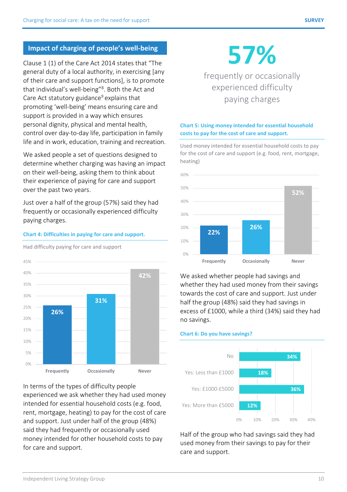# **Impact of charging of people's well-being**

Clause 1 (1) of the Care Act 2014 states that "The general duty of a local authority, in exercising [any of their care and support functions], is to promote that individual's well-bein[g"](#page-26-0)**<sup>8</sup>** . Both the Act and Care Act statutory guidance**<sup>9</sup>**explains that promoting 'well-being' means ensuring care and support is provided in a way which ensures personal dignity, physical and mental health, control over day-to-day life, participation in family life and in work, education, training and recreation.

We asked people a set of questions designed to determine whether charging was having an impact on their well-being, asking them to think about their experience of paying for care and support over the past two years.

Just over a half of the group (57%) said they had frequently or occasionally experienced difficulty paying charges.



**Chart 4: Difficulties in paying for care and support.** 

Had difficulty paying for care and support

In terms of the types of difficulty people experienced we ask whether they had used money intended for essential household costs (e.g. food, rent, mortgage, heating) to pay for the cost of care and support. Just under half of the group (48%) said they had frequently or occasionally used money intended for other household costs to pay for care and support.

**57%** 

frequently or occasionally experienced difficulty paying charges

#### **Chart 5: Using money intended for essential household costs to pay for the cost of care and support.**

Used money intended for essential household costs to pay for the cost of care and support (e.g. food, rent, mortgage, heating)



We asked whether people had savings and whether they had used money from their savings towards the cost of care and support. Just under half the group (48%) said they had savings in excess of £1000, while a third (34%) said they had no savings.

#### **Chart 6: Do you have savings?**



Half of the group who had savings said they had used money from their savings to pay for their care and support.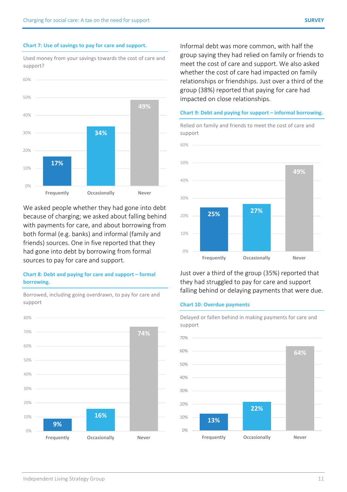#### **Chart 7: Use of savings to pay for care and support.**

support?

Used money from your savings towards the cost of care and

**17% 34% 49%**  $0%$ 10% 20% 30% 40% 50% 60% **Frequently Occasionally Never**

We asked people whether they had gone into debt because of charging; we asked about falling behind with payments for care, and about borrowing from both formal (e.g. banks) and informal (family and friends) sources. One in five reported that they had gone into debt by borrowing from formal sources to pay for care and support.

#### **Chart 8: Debt and paying for care and support – formal borrowing.**

**9% 16% 74%** 0% 10% 20% 30% 40% 50% 60% 70% 80% **Frequently Occasionally Never** 

Borrowed, including going overdrawn, to pay for care and support

Informal debt was more common, with half the group saying they had relied on family or friends to meet the cost of care and support. We also asked whether the cost of care had impacted on family relationships or friendships. Just over a third of the group (38%) reported that paying for care had impacted on close relationships.

#### **Chart 9: Debt and paying for support – informal borrowing.**

Relied on family and friends to meet the cost of care and

support **25% 27% 49%** 0% 10% 20% 30% 40% 50% 60% **Frequently Occasionally Never**

Just over a third of the group (35%) reported that they had struggled to pay for care and support falling behind or delaying payments that were due.

#### **Chart 10: Overdue payments**

Delayed or fallen behind in making payments for care and support

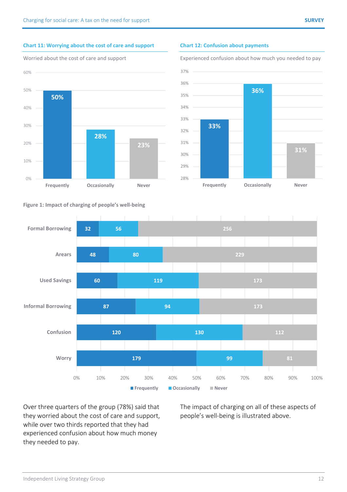### **Chart 11: Worrying about the cost of care and support**





#### **Chart 12: Confusion about payments**

Experienced confusion about how much you needed to pay







Over three quarters of the group (78%) said that they worried about the cost of care and support, while over two thirds reported that they had experienced confusion about how much money they needed to pay.

The impact of charging on all of these aspects of people's well-being is illustrated above.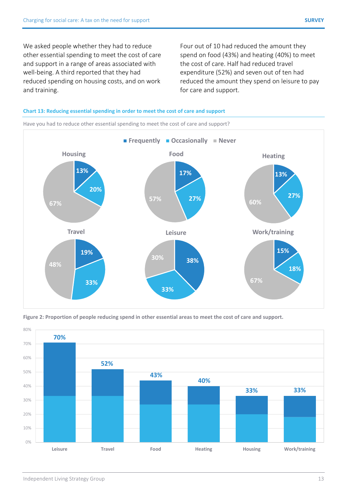We asked people whether they had to reduce other essential spending to meet the cost of care and support in a range of areas associated with well-being. A third reported that they had reduced spending on housing costs, and on work and training.

Four out of 10 had reduced the amount they spend on food (43%) and heating (40%) to meet the cost of care. Half had reduced travel expenditure (52%) and seven out of ten had reduced the amount they spend on leisure to pay for care and support.

#### **Chart 13: Reducing essential spending in order to meet the cost of care and support**



Have you had to reduce other essential spending to meet the cost of care and support?

**Figure 2: Proportion of people reducing spend in other essential areas to meet the cost of care and support.** 

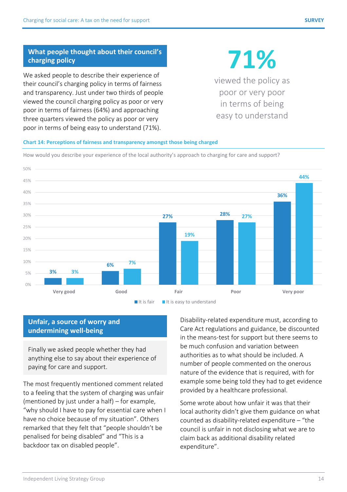### **What people thought about their council's charging policy**

We asked people to describe their experience of their council's charging policy in terms of fairness and transparency. Just under two thirds of people viewed the council charging policy as poor or very poor in terms of fairness (64%) and approaching three quarters viewed the policy as poor or very poor in terms of being easy to understand (71%).

# **71%**

viewed the policy as poor or very poor in terms of being easy to understand

#### **Chart 14: Perceptions of fairness and transparency amongst those being charged**

How would you describe your experience of the local authority's approach to charging for care and support?



## **Unfair, a source of worry and undermining well-being**

Finally we asked people whether they had anything else to say about their experience of paying for care and support.

The most frequently mentioned comment related to a feeling that the system of charging was unfair (mentioned by just under a half) – for example, "why should I have to pay for essential care when I have no choice because of my situation". Others remarked that they felt that "people shouldn't be penalised for being disabled" and "This is a backdoor tax on disabled people".

Disability-related expenditure must, according to Care Act regulations and guidance, be discounted in the means-test for support but there seems to be much confusion and variation between authorities as to what should be included. A number of people commented on the onerous nature of the evidence that is required, with for example some being told they had to get evidence provided by a healthcare professional.

Some wrote about how unfair it was that their local authority didn't give them guidance on what counted as disability-related expenditure – "the council is unfair in not disclosing what we are to claim back as additional disability related expenditure".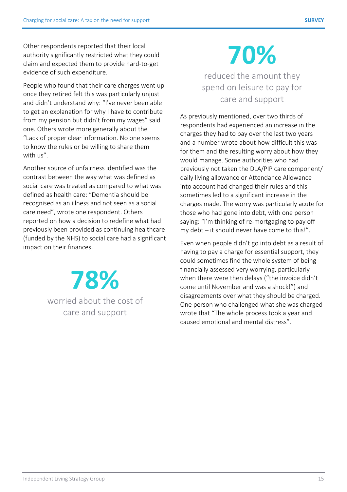Other respondents reported that their local authority significantly restricted what they could claim and expected them to provide hard-to-get evidence of such expenditure.

People who found that their care charges went up once they retired felt this was particularly unjust and didn't understand why: "I've never been able to get an explanation for why I have to contribute from my pension but didn't from my wages" said one. Others wrote more generally about the "Lack of proper clear information. No one seems to know the rules or be willing to share them with us".

Another source of unfairness identified was the contrast between the way what was defined as social care was treated as compared to what was defined as health care: "Dementia should be recognised as an illness and not seen as a social care need", wrote one respondent. Others reported on how a decision to redefine what had previously been provided as continuing healthcare (funded by the NHS) to social care had a significant impact on their finances.

> **78%**  worried about the cost of care and support

# **70%**

reduced the amount they spend on leisure to pay for care and support

As previously mentioned, over two thirds of respondents had experienced an increase in the charges they had to pay over the last two years and a number wrote about how difficult this was for them and the resulting worry about how they would manage. Some authorities who had previously not taken the DLA/PIP care component/ daily living allowance or Attendance Allowance into account had changed their rules and this sometimes led to a significant increase in the charges made. The worry was particularly acute for those who had gone into debt, with one person saying: "I'm thinking of re-mortgaging to pay off my debt – it should never have come to this!".

Even when people didn't go into debt as a result of having to pay a charge for essential support, they could sometimes find the whole system of being financially assessed very worrying, particularly when there were then delays ("the invoice didn't come until November and was a shock!") and disagreements over what they should be charged. One person who challenged what she was charged wrote that "The whole process took a year and caused emotional and mental distress".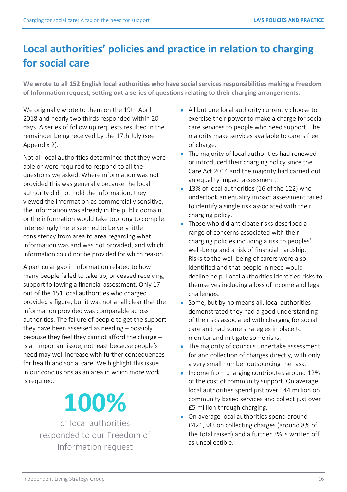# **Local authorities' policies and practice in relation to charging for social care**

**We wrote to all 152 English local authorities who have social services responsibilities making a Freedom of Information request, setting out a series of questions relating to their charging arrangements.** 

We originally wrote to them on the 19th April 2018 and nearly two thirds responded within 20 days. A series of follow up requests resulted in the remainder being received by the 17th July (see Appendix 2).

Not all local authorities determined that they were able or were required to respond to all the questions we asked. Where information was not provided this was generally because the local authority did not hold the information, they viewed the information as commercially sensitive, the information was already in the public domain, or the information would take too long to compile. Interestingly there seemed to be very little consistency from area to area regarding what information was and was not provided, and which information could not be provided for which reason.

A particular gap in information related to how many people failed to take up, or ceased receiving, support following a financial assessment. Only 17 out of the 151 local authorities who charged provided a figure, but it was not at all clear that the information provided was comparable across authorities. The failure of people to get the support they have been assessed as needing – possibly because they feel they cannot afford the charge – is an important issue, not least because people's need may well increase with further consequences for health and social care. We highlight this issue in our conclusions as an area in which more work is required.

# **100%**

of local authorities responded to our Freedom of Information request

- All but one local authority currently choose to exercise their power to make a charge for social care services to people who need support. The majority make services available to carers free of charge.
- The majority of local authorities had renewed or introduced their charging policy since the Care Act 2014 and the majority had carried out an equality impact assessment.
- 13% of local authorities (16 of the 122) who undertook an equality impact assessment failed to identify a single risk associated with their charging policy.
- Those who did anticipate risks described a range of concerns associated with their charging policies including a risk to peoples' well-being and a risk of financial hardship. Risks to the well-being of carers were also identified and that people in need would decline help. Local authorities identified risks to themselves including a loss of income and legal challenges.
- Some, but by no means all, local authorities demonstrated they had a good understanding of the risks associated with charging for social care and had some strategies in place to monitor and mitigate some risks.
- The majority of councils undertake assessment for and collection of charges directly, with only a very small number outsourcing the task.
- Income from charging contributes around 12% of the cost of community support. On average local authorities spend just over £44 million on community based services and collect just over £5 million through charging.
- On average local authorities spend around £421,383 on collecting charges (around 8% of the total raised) and a further 3% is written off as uncollectible.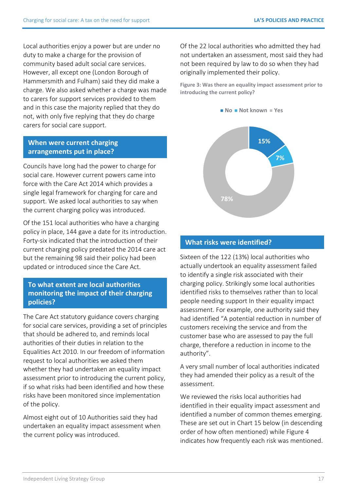Local authorities enjoy a power but are under no duty to make a charge for the provision of community based adult social care services. However, all except one (London Borough of Hammersmith and Fulham) said they did make a charge. We also asked whether a charge was made to carers for support services provided to them and in this case the majority replied that they do not, with only five replying that they do charge carers for social care support.

### **When were current charging arrangements put in place?**

Councils have long had the power to charge for social care. However current powers came into force with the Care Act 2014 which provides a single legal framework for charging for care and support. We asked local authorities to say when the current charging policy was introduced.

Of the 151 local authorities who have a charging policy in place, 144 gave a date for its introduction. Forty-six indicated that the introduction of their current charging policy predated the 2014 care act but the remaining 98 said their policy had been updated or introduced since the Care Act.

### **To what extent are local authorities monitoring the impact of their charging policies?**

The Care Act statutory guidance covers charging for social care services, providing a set of principles that should be adhered to, and reminds local authorities of their duties in relation to the Equalities Act 2010. In our freedom of information request to local authorities we asked them whether they had undertaken an equality impact assessment prior to introducing the current policy, if so what risks had been identified and how these risks have been monitored since implementation of the policy.

Almost eight out of 10 Authorities said they had undertaken an equality impact assessment when the current policy was introduced.

Of the 22 local authorities who admitted they had not undertaken an assessment, most said they had not been required by law to do so when they had originally implemented their policy.

**Figure 3: Was there an equality impact assessment prior to introducing the current policy?** 





### **What risks were identified?**

Sixteen of the 122 (13%) local authorities who actually undertook an equality assessment failed to identify a single risk associated with their charging policy. Strikingly some local authorities identified risks to themselves rather than to local people needing support In their equality impact assessment. For example, one authority said they had identified "A potential reduction in number of customers receiving the service and from the customer base who are assessed to pay the full charge, therefore a reduction in income to the authority".

A very small number of local authorities indicated they had amended their policy as a result of the assessment.

We reviewed the risks local authorities had identified in their equality impact assessment and identified a number of common themes emerging. These are set out in Chart 15 below (in descending order of how often mentioned) while Figure 4 indicates how frequently each risk was mentioned.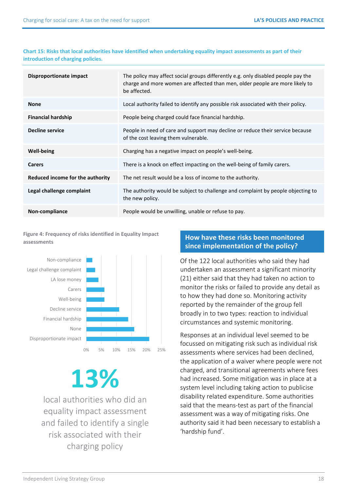#### **Chart 15: Risks that local authorities have identified when undertaking equality impact assessments as part of their introduction of charging policies.**

| Disproportionate impact          | The policy may affect social groups differently e.g. only disabled people pay the<br>charge and more women are affected than men, older people are more likely to<br>be affected. |
|----------------------------------|-----------------------------------------------------------------------------------------------------------------------------------------------------------------------------------|
| <b>None</b>                      | Local authority failed to identify any possible risk associated with their policy.                                                                                                |
| <b>Financial hardship</b>        | People being charged could face financial hardship.                                                                                                                               |
| Decline service                  | People in need of care and support may decline or reduce their service because<br>of the cost leaving them vulnerable.                                                            |
| <b>Well-being</b>                | Charging has a negative impact on people's well-being.                                                                                                                            |
| <b>Carers</b>                    | There is a knock on effect impacting on the well-being of family carers.                                                                                                          |
| Reduced income for the authority | The net result would be a loss of income to the authority.                                                                                                                        |
| Legal challenge complaint        | The authority would be subject to challenge and complaint by people objecting to<br>the new policy.                                                                               |
| Non-compliance                   | People would be unwilling, unable or refuse to pay.                                                                                                                               |

**Figure 4: Frequency of risks identified in Equality Impact assessments** 



# **13%**

local authorities who did an equality impact assessment and failed to identify a single risk associated with their charging policy

# **How have these risks been monitored since implementation of the policy?**

Of the 122 local authorities who said they had undertaken an assessment a significant minority (21) either said that they had taken no action to monitor the risks or failed to provide any detail as to how they had done so. Monitoring activity reported by the remainder of the group fell broadly in to two types: reaction to individual circumstances and systemic monitoring.

Responses at an individual level seemed to be focussed on mitigating risk such as individual risk assessments where services had been declined, the application of a waiver where people were not charged, and transitional agreements where fees had increased. Some mitigation was in place at a system level including taking action to publicise disability related expenditure. Some authorities said that the means-test as part of the financial assessment was a way of mitigating risks. One authority said it had been necessary to establish a 'hardship fund'.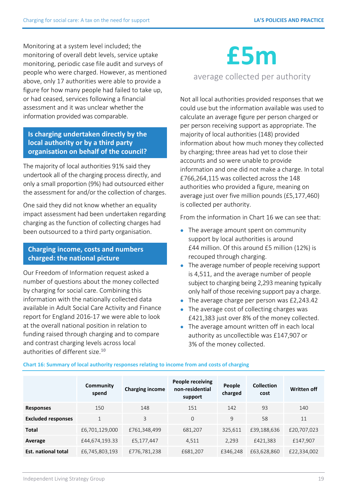Monitoring at a system level included; the monitoring of overall debt levels, service uptake monitoring, periodic case file audit and surveys of people who were charged. However, as mentioned above, only 17 authorities were able to provide a figure for how many people had failed to take up, or had ceased, services following a financial assessment and it was unclear whether the information provided was comparable.

## **Is charging undertaken directly by the local authority or by a third party organisation on behalf of the council?**

The majority of local authorities 91% said they undertook all of the charging process directly, and only a small proportion (9%) had outsourced either the assessment for and/or the collection of charges.

One said they did not know whether an equality impact assessment had been undertaken regarding charging as the function of collecting charges had been outsourced to a third party organisation.

### **Charging income, costs and numbers charged: the national picture**

Our Freedom of Information request asked a number of questions about the money collected by charging for social care. Combining this information with the nationally collected data available in Adult Social Care Activity and Finance report for England 2016-17 we were able to look at the overall national position in relation to funding raised through charging and to compare and contrast charging levels across local authorities of different siz[e.](#page-26-0)**<sup>10</sup>**

# **£5m**

# average collected per authority

Not all local authorities provided responses that we could use but the information available was used to calculate an average figure per person charged or per person receiving support as appropriate. The majority of local authorities (148) provided information about how much money they collected by charging; three areas had yet to close their accounts and so were unable to provide information and one did not make a charge. In total £766,264,115 was collected across the 148 authorities who provided a figure, meaning on average just over five million pounds (£5,177,460) is collected per authority.

From the information in Chart 16 we can see that:

- The average amount spent on community support by local authorities is around £44 million. Of this around £5 million (12%) is recouped through charging.
- The average number of people receiving support is 4,511, and the average number of people subject to charging being 2,293 meaning typically only half of those receiving support pay a charge.
- The average charge per person was £2,243.42
- The average cost of collecting charges was £421,383 just over 8% of the money collected.
- The average amount written off in each local authority as uncollectible was £147,907 or 3% of the money collected.

|                            | Community<br>spend | <b>Charging income</b> | <b>People receiving</b><br>non-residential<br>support | People<br>charged | <b>Collection</b><br>cost | <b>Written off</b> |
|----------------------------|--------------------|------------------------|-------------------------------------------------------|-------------------|---------------------------|--------------------|
| <b>Responses</b>           | 150                | 148                    | 151                                                   | 142               | 93                        | 140                |
| <b>Excluded responses</b>  | $\mathbf{1}$       | 3                      | 0                                                     | 9                 | 58                        | 11                 |
| <b>Total</b>               | £6,701,129,000     | £761,348,499           | 681,207                                               | 325,611           | £39,188,636               | £20,707,023        |
| Average                    | £44,674,193.33     | £5,177,447             | 4,511                                                 | 2,293             | £421,383                  | £147,907           |
| <b>Est. national total</b> | £6,745,803,193     | £776,781,238           | £681,207                                              | £346,248          | £63,628,860               | £22,334,002        |

**Chart 16: Summary of local authority responses relating to income from and costs of charging**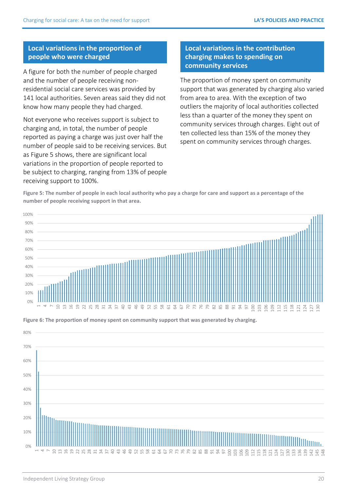### **Local variations in the proportion of people who were charged**

A figure for both the number of people charged and the number of people receiving nonresidential social care services was provided by 141 local authorities. Seven areas said they did not know how many people they had charged.

Not everyone who receives support is subject to charging and, in total, the number of people reported as paying a charge was just over half the number of people said to be receiving services. But as Figure 5 shows, there are significant local variations in the proportion of people reported to be subject to charging, ranging from 13% of people receiving support to 100%.

### **Local variations in the contribution charging makes to spending on community services**

The proportion of money spent on community support that was generated by charging also varied from area to area. With the exception of two outliers the majority of local authorities collected less than a quarter of the money they spent on community services through charges. Eight out of ten collected less than 15% of the money they spent on community services through charges.

**Figure 5: The number of people in each local authority who pay a charge for care and support as a percentage of the number of people receiving support in that area.** 





**Figure 6: The proportion of money spent on community support that was generated by charging.**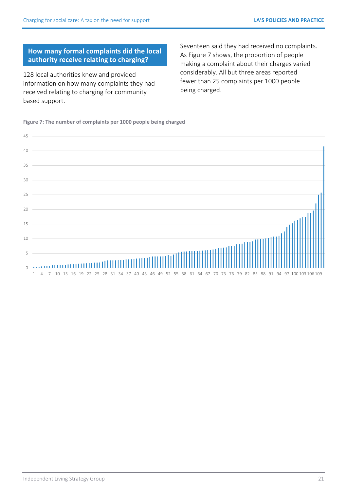### **How many formal complaints did the local authority receive relating to charging?**

128 local authorities knew and provided information on how many complaints they had received relating to charging for community based support.

Seventeen said they had received no complaints. As Figure 7 shows, the proportion of people making a complaint about their charges varied considerably. All but three areas reported fewer than 25 complaints per 1000 people being charged.

**Figure 7: The number of complaints per 1000 people being charged** 

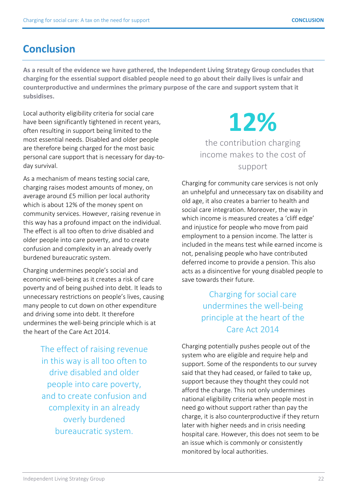# **Conclusion**

**As a result of the evidence we have gathered, the Independent Living Strategy Group concludes that charging for the essential support disabled people need to go about their daily lives is unfair and counterproductive and undermines the primary purpose of the care and support system that it subsidises.** 

Local authority eligibility criteria for social care have been significantly tightened in recent years, often resulting in support being limited to the most essential needs. Disabled and older people are therefore being charged for the most basic personal care support that is necessary for day-today survival.

As a mechanism of means testing social care, charging raises modest amounts of money, on average around £5 million per local authority which is about 12% of the money spent on community services. However, raising revenue in this way has a profound impact on the individual. The effect is all too often to drive disabled and older people into care poverty, and to create confusion and complexity in an already overly burdened bureaucratic system.

Charging undermines people's social and economic well-being as it creates a risk of care poverty and of being pushed into debt. It leads to unnecessary restrictions on people's lives, causing many people to cut down on other expenditure and driving some into debt. It therefore undermines the well-being principle which is at the heart of the Care Act 2014.

> The effect of raising revenue in this way is all too often to drive disabled and older people into care poverty, and to create confusion and complexity in an already overly burdened bureaucratic system.

# **12%**  the contribution charging income makes to the cost of support

Charging for community care services is not only an unhelpful and unnecessary tax on disability and old age, it also creates a barrier to health and social care integration. Moreover, the way in which income is measured creates a 'cliff edge' and injustice for people who move from paid employment to a pension income. The latter is included in the means test while earned income is not, penalising people who have contributed deferred income to provide a pension. This also acts as a disincentive for young disabled people to save towards their future.

# Charging for social care undermines the well-being principle at the heart of the Care Act 2014

Charging potentially pushes people out of the system who are eligible and require help and support. Some of the respondents to our survey said that they had ceased, or failed to take up, support because they thought they could not afford the charge. This not only undermines national eligibility criteria when people most in need go without support rather than pay the charge, it is also counterproductive if they return later with higher needs and in crisis needing hospital care. However, this does not seem to be an issue which is commonly or consistently monitored by local authorities.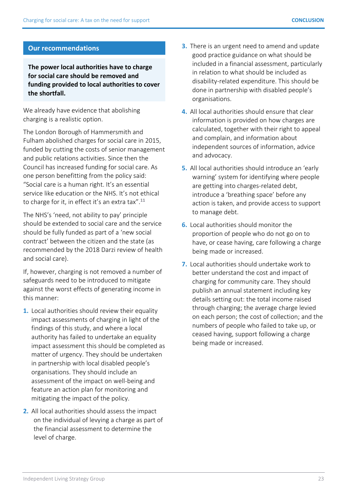### **Our recommendations**

**The power local authorities have to charge for social care should be removed and funding provided to local authorities to cover the shortfall.** 

We already have evidence that abolishing charging is a realistic option.

The London Borough of Hammersmith and Fulham abolished charges for social care in 2015, funded by cutting the costs of senior management and public relations activities. Since then the Council has increased funding for social care. As one person benefitting from the policy said: "Social care is a human right. It's an essential service like education or the NHS. It's not ethical to charge for it, in effect it's an extra tax".**[11](#page-26-0)**

The NHS's 'need, not ability to pay' principle should be extended to social care and the service should be fully funded as part of a 'new social contract' between the citizen and the state (as recommended by the 2018 Darzi review of health and social care).

If, however, charging is not removed a number of safeguards need to be introduced to mitigate against the worst effects of generating income in this manner:

- **1.** Local authorities should review their equality impact assessments of charging in light of the findings of this study, and where a local authority has failed to undertake an equality impact assessment this should be completed as matter of urgency. They should be undertaken in partnership with local disabled people's organisations. They should include an assessment of the impact on well-being and feature an action plan for monitoring and mitigating the impact of the policy.
- **2.** All local authorities should assess the impact on the individual of levying a charge as part of the financial assessment to determine the level of charge.
- **3.** There is an urgent need to amend and update good practice guidance on what should be included in a financial assessment, particularly in relation to what should be included as disability-related expenditure. This should be done in partnership with disabled people's organisations.
- **4.** All local authorities should ensure that clear information is provided on how charges are calculated, together with their right to appeal and complain, and information about independent sources of information, advice and advocacy.
- **5.** All local authorities should introduce an 'early warning' system for identifying where people are getting into charges-related debt, introduce a 'breathing space' before any action is taken, and provide access to support to manage debt.
- **6.** Local authorities should monitor the proportion of people who do not go on to have, or cease having, care following a charge being made or increased.
- **7.** Local authorities should undertake work to better understand the cost and impact of charging for community care. They should publish an annual statement including key details setting out: the total income raised through charging; the average charge levied on each person; the cost of collection; and the numbers of people who failed to take up, or ceased having, support following a charge being made or increased.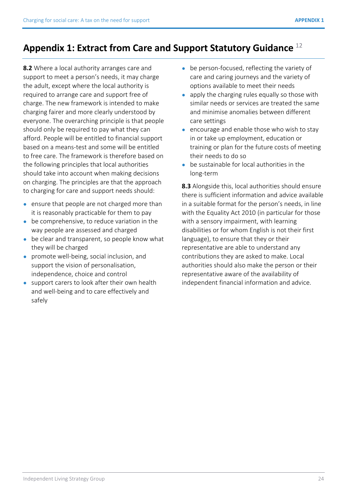# **Appendix 1: Extract from Care and Support Statutory Guidance** [12](#page-26-0)

**8.2** Where a local authority arranges care and support to meet a person's needs, it may charge the adult, except where the local authority is required to arrange care and support free of charge. The new framework is intended to make charging fairer and more clearly understood by everyone. The overarching principle is that people should only be required to pay what they can afford. People will be entitled to financial support based on a means-test and some will be entitled to free care. The framework is therefore based on the following principles that local authorities should take into account when making decisions on charging. The principles are that the approach to charging for care and support needs should:

- ensure that people are not charged more than it is reasonably practicable for them to pay
- be comprehensive, to reduce variation in the way people are assessed and charged
- be clear and transparent, so people know what they will be charged
- promote well-being, social inclusion, and support the vision of personalisation, independence, choice and control
- support carers to look after their own health and well-being and to care effectively and safely
- be person-focused, reflecting the variety of care and caring journeys and the variety of options available to meet their needs
- apply the charging rules equally so those with similar needs or services are treated the same and minimise anomalies between different care settings
- encourage and enable those who wish to stay in or take up employment, education or training or plan for the future costs of meeting their needs to do so
- be sustainable for local authorities in the long-term

**8.3** Alongside this, local authorities should ensure there is sufficient information and advice available in a suitable format for the person's needs, in line with the Equality Act 2010 (in particular for those with a sensory impairment, with learning disabilities or for whom English is not their first language), to ensure that they or their representative are able to understand any contributions they are asked to make. Local authorities should also make the person or their representative aware of the availability of independent financial information and advice.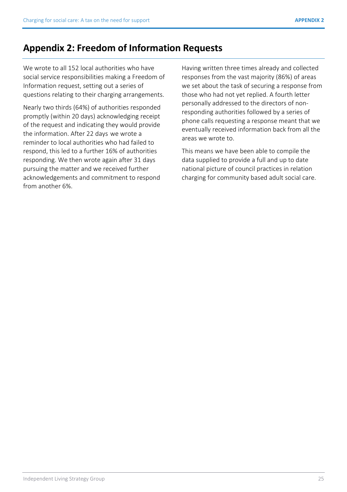# **Appendix 2: Freedom of Information Requests**

We wrote to all 152 local authorities who have social service responsibilities making a Freedom of Information request, setting out a series of questions relating to their charging arrangements.

Nearly two thirds (64%) of authorities responded promptly (within 20 days) acknowledging receipt of the request and indicating they would provide the information. After 22 days we wrote a reminder to local authorities who had failed to respond, this led to a further 16% of authorities responding. We then wrote again after 31 days pursuing the matter and we received further acknowledgements and commitment to respond from another 6%.

Having written three times already and collected responses from the vast majority (86%) of areas we set about the task of securing a response from those who had not yet replied. A fourth letter personally addressed to the directors of nonresponding authorities followed by a series of phone calls requesting a response meant that we eventually received information back from all the areas we wrote to.

This means we have been able to compile the data supplied to provide a full and up to date national picture of council practices in relation charging for community based adult social care.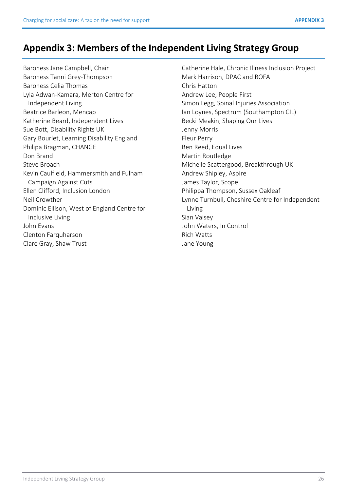# **Appendix 3: Members of the Independent Living Strategy Group**

Baroness Jane Campbell, Chair Baroness Tanni Grey-Thompson Baroness Celia Thomas Lyla Adwan-Kamara, Merton Centre for Independent Living Beatrice Barleon, Mencap Katherine Beard, Independent Lives Sue Bott, Disability Rights UK Gary Bourlet, Learning Disability England Philipa Bragman, CHANGE Don Brand Steve Broach Kevin Caulfield, Hammersmith and Fulham Campaign Against Cuts Ellen Clifford, Inclusion London Neil Crowther Dominic Ellison, West of England Centre for Inclusive Living John Evans Clenton Farquharson Clare Gray, Shaw Trust

Catherine Hale, Chronic Illness Inclusion Project Mark Harrison, DPAC and ROFA Chris Hatton Andrew Lee, People First Simon Legg, Spinal Injuries Association Ian Loynes, Spectrum (Southampton CIL) Becki Meakin, Shaping Our Lives Jenny Morris Fleur Perry Ben Reed, Equal Lives Martin Routledge Michelle Scattergood, Breakthrough UK Andrew Shipley, Aspire James Taylor, Scope Philippa Thompson, Sussex Oakleaf Lynne Turnbull, Cheshire Centre for Independent Living Sian Vaisey John Waters, In Control Rich Watts Jane Young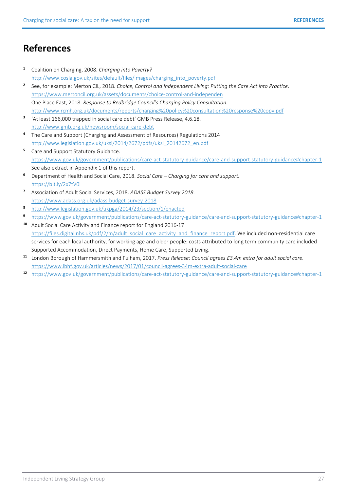# <span id="page-26-0"></span>**References**

- **1** Coalition on Charging, 2008. *Charging into Poverty?*  [http://www.cosla.gov.uk/sites/default/files/images/charging\\_into\\_poverty.pdf](http://www.cosla.gov.uk/sites/default/files/images/charging_into_poverty.pdf)
- **2** See, for example: Merton CIL, 2018. *Choice, Control and Independent Living: Putting the Care Act into Practice*. <https://www.mertoncil.org.uk/assets/documents/choice-control-and-independen> One Place East, 2018. *Response to Redbridge Council's Charging Policy Consultation.* <http://www.rcmh.org.uk/documents/reports/charging%20policy%20consultation%20response%20copy.pdf>
- **3** 'At least 166,000 trapped in social care debt' GMB Press Release, 4.6.18. <http://www.gmb.org.uk/newsroom/social-care-debt>
- **4** The Care and Support (Charging and Assessment of Resources) Regulations 2014 [http://www.legislation.gov.uk/uksi/2014/2672/pdfs/uksi\\_20142672\\_en.pdf](http://www.legislation.gov.uk/uksi/2014/2672/pdfs/uksi_20142672_en.pdf)
- **5** Care and Support Statutory Guidance. <https://www.gov.uk/government/publications/care-act-statutory-guidance/care-and-support-statutory-guidance#chapter-1> See also extract in Appendix 1 of this report.
- **<sup>6</sup>**Department of Health and Social Care, 2018. *Social Care Charging for care and support.*  <https://bit.ly/2x7tV0I>
- **7** Association of Adult Social Services, 2018. *ADASS Budget Survey 2018.* <https://www.adass.org.uk/adass-budget-survey-2018>
- **8** <http://www.legislation.gov.uk/ukpga/2014/23/section/1/enacted>
- **<sup>9</sup>**<https://www.gov.uk/government/publications/care-act-statutory-guidance/care-and-support-statutory-guidance#chapter-1>
- **<sup>10</sup>** Adult Social Care Activity and Finance report for England 2016-17 [https://files.digital.nhs.uk/pdf/2/m/adult\\_social\\_care\\_activity\\_and\\_finance\\_report.pdf.](https://files.digital.nhs.uk/pdf/2/m/adult_social_care_activity_and_finance_report.pdf.) We included non-residential care services for each local authority, for working age and older people: costs attributed to long term community care included Supported Accommodation, Direct Payments, Home Care, Supported Living.
- **<sup>11</sup>** London Borough of Hammersmith and Fulham, 2017. *Press Release: Council agrees £3.4m extra for adult social care.* <https://www.lbhf.gov.uk/articles/news/2017/01/council-agrees-34m-extra-adult-social-care>
- **12** <https://www.gov.uk/government/publications/care-act-statutory-guidance/care-and-support-statutory-guidance#chapter-1>